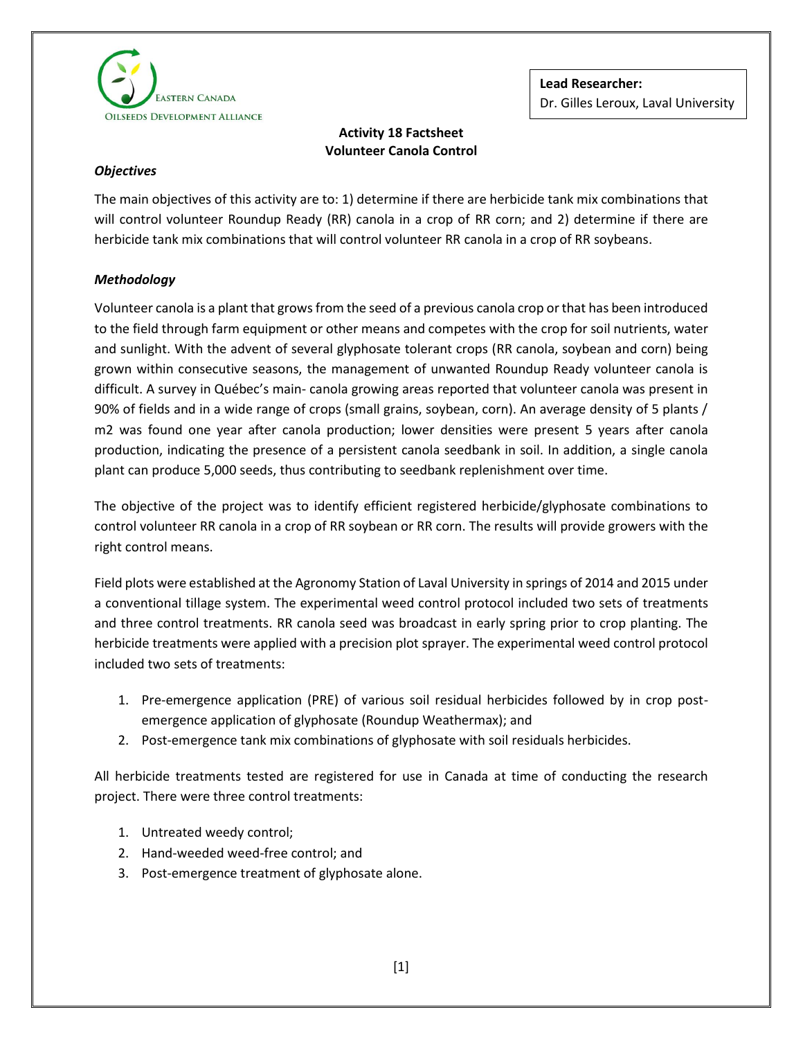

# **Activity 18 Factsheet Volunteer Canola Control**

## *Objectives*

The main objectives of this activity are to: 1) determine if there are herbicide tank mix combinations that will control volunteer Roundup Ready (RR) canola in a crop of RR corn; and 2) determine if there are herbicide tank mix combinations that will control volunteer RR canola in a crop of RR soybeans.

## *Methodology*

Volunteer canola is a plant that grows from the seed of a previous canola crop or that has been introduced to the field through farm equipment or other means and competes with the crop for soil nutrients, water and sunlight. With the advent of several glyphosate tolerant crops (RR canola, soybean and corn) being grown within consecutive seasons, the management of unwanted Roundup Ready volunteer canola is difficult. A survey in Québec's main- canola growing areas reported that volunteer canola was present in 90% of fields and in a wide range of crops (small grains, soybean, corn). An average density of 5 plants / m2 was found one year after canola production; lower densities were present 5 years after canola production, indicating the presence of a persistent canola seedbank in soil. In addition, a single canola plant can produce 5,000 seeds, thus contributing to seedbank replenishment over time.

The objective of the project was to identify efficient registered herbicide/glyphosate combinations to control volunteer RR canola in a crop of RR soybean or RR corn. The results will provide growers with the right control means.

Field plots were established at the Agronomy Station of Laval University in springs of 2014 and 2015 under a conventional tillage system. The experimental weed control protocol included two sets of treatments and three control treatments. RR canola seed was broadcast in early spring prior to crop planting. The herbicide treatments were applied with a precision plot sprayer. The experimental weed control protocol included two sets of treatments:

- 1. Pre-emergence application (PRE) of various soil residual herbicides followed by in crop postemergence application of glyphosate (Roundup Weathermax); and
- 2. Post-emergence tank mix combinations of glyphosate with soil residuals herbicides.

All herbicide treatments tested are registered for use in Canada at time of conducting the research project. There were three control treatments:

- 1. Untreated weedy control;
- 2. Hand-weeded weed-free control; and
- 3. Post-emergence treatment of glyphosate alone.